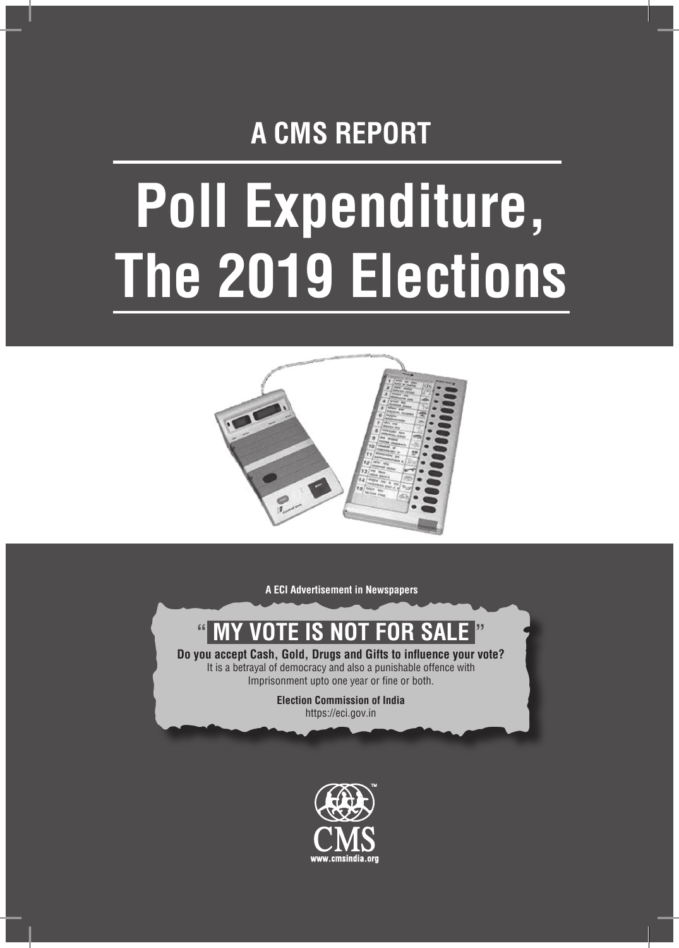## **A CMS REPORT**

# **Poll Expenditure, The 2019 Elections**



**A ECI Advertisement in Newspapers**

## **" MY VOTE IS NOT FOR SALE "**

**Do you accept Cash, Gold, Drugs and Gifts to influence your vote?** It is a betrayal of democracy and also a punishable offence with Imprisonment upto one year or fine or both.

> **Election Commission of India** https://eci.gov.in

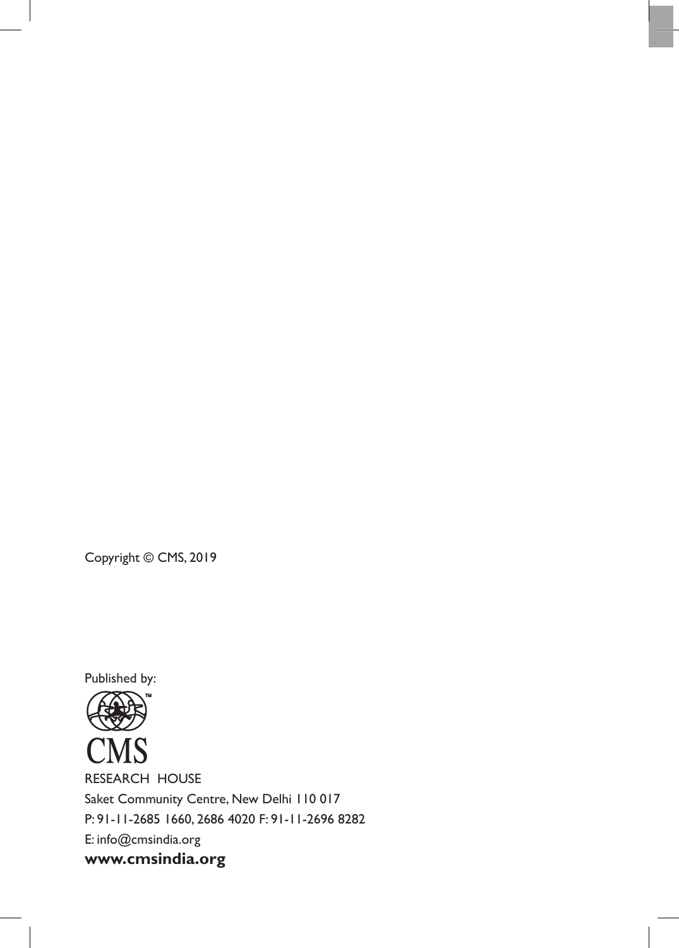Copyright © CMS, 2019

Published by:

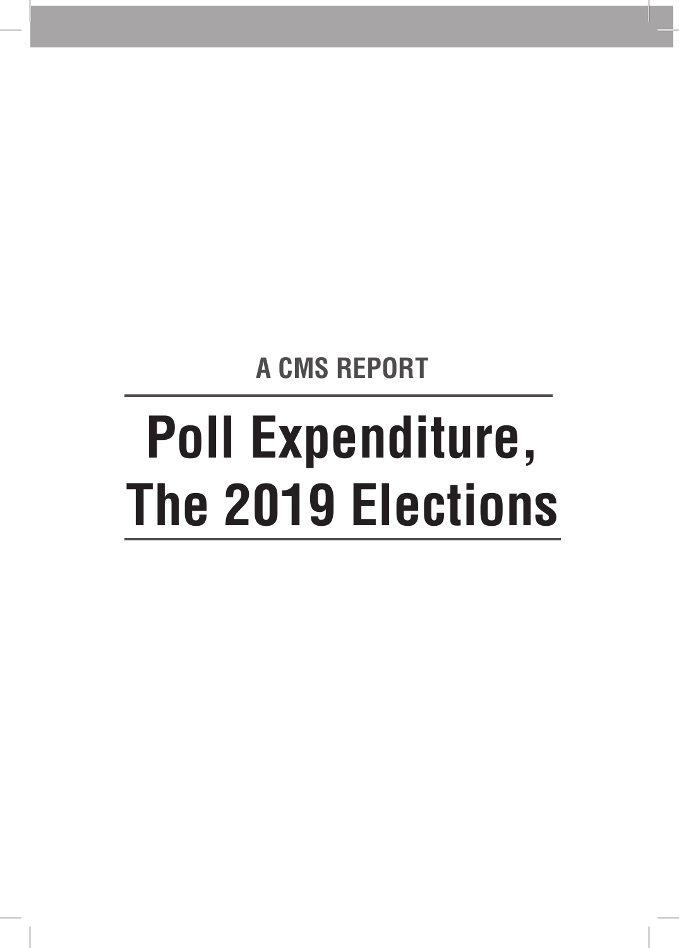**A CMS REPORT**

## **Poll Expenditure, The 2019 Elections**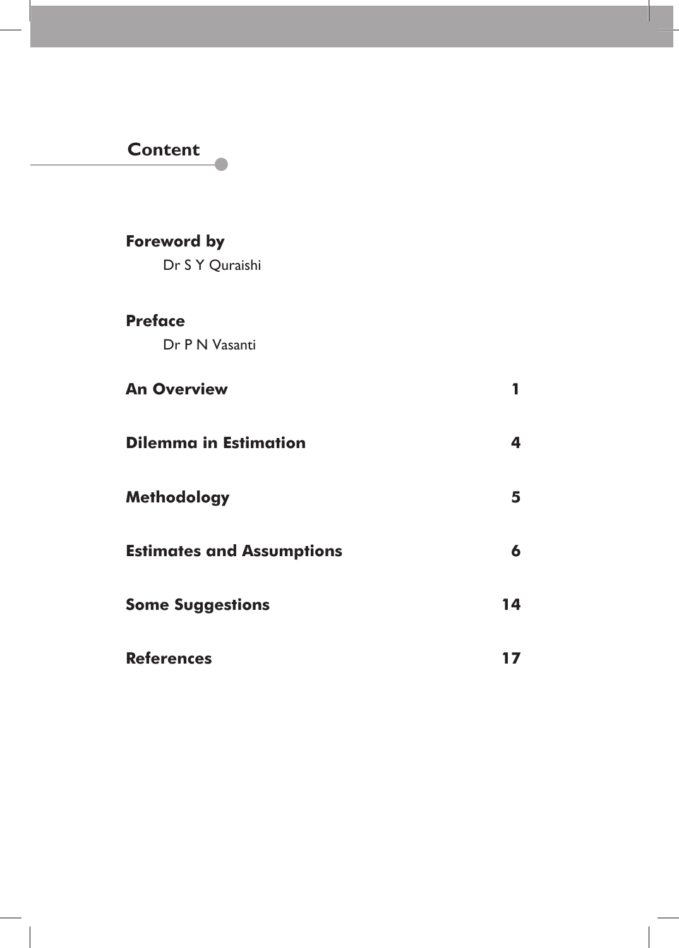## **Content**

### **Foreword by**

Dr S Y Quraishi

#### **Preface**

 $\overline{\phantom{a}}$ 

Dr P N Vasanti

| <b>An Overview</b>               |    |
|----------------------------------|----|
| <b>Dilemma in Estimation</b>     |    |
| <b>Methodology</b>               | 5  |
| <b>Estimates and Assumptions</b> | 6  |
| <b>Some Suggestions</b>          | 14 |
| <b>References</b>                |    |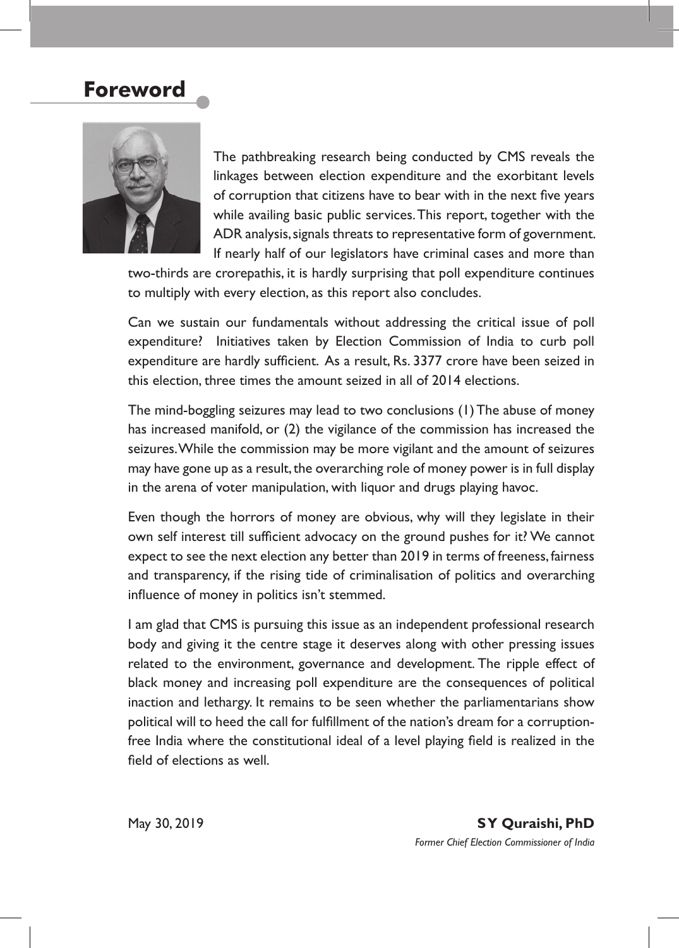### **Foreword**



The pathbreaking research being conducted by CMS reveals the linkages between election expenditure and the exorbitant levels of corruption that citizens have to bear with in the next five years while availing basic public services. This report, together with the ADR analysis, signals threats to representative form of government. If nearly half of our legislators have criminal cases and more than

two-thirds are crorepathis, it is hardly surprising that poll expenditure continues to multiply with every election, as this report also concludes.

Can we sustain our fundamentals without addressing the critical issue of poll expenditure? Initiatives taken by Election Commission of India to curb poll expenditure are hardly sufficient. As a result, Rs. 3377 crore have been seized in this election, three times the amount seized in all of 2014 elections.

The mind-boggling seizures may lead to two conclusions (1) The abuse of money has increased manifold, or (2) the vigilance of the commission has increased the seizures. While the commission may be more vigilant and the amount of seizures may have gone up as a result, the overarching role of money power is in full display in the arena of voter manipulation, with liquor and drugs playing havoc.

Even though the horrors of money are obvious, why will they legislate in their own self interest till sufficient advocacy on the ground pushes for it? We cannot expect to see the next election any better than 2019 in terms of freeness, fairness and transparency, if the rising tide of criminalisation of politics and overarching influence of money in politics isn't stemmed.

I am glad that CMS is pursuing this issue as an independent professional research body and giving it the centre stage it deserves along with other pressing issues related to the environment, governance and development. The ripple effect of black money and increasing poll expenditure are the consequences of political inaction and lethargy. It remains to be seen whether the parliamentarians show political will to heed the call for fulfillment of the nation's dream for a corruptionfree India where the constitutional ideal of a level playing field is realized in the field of elections as well.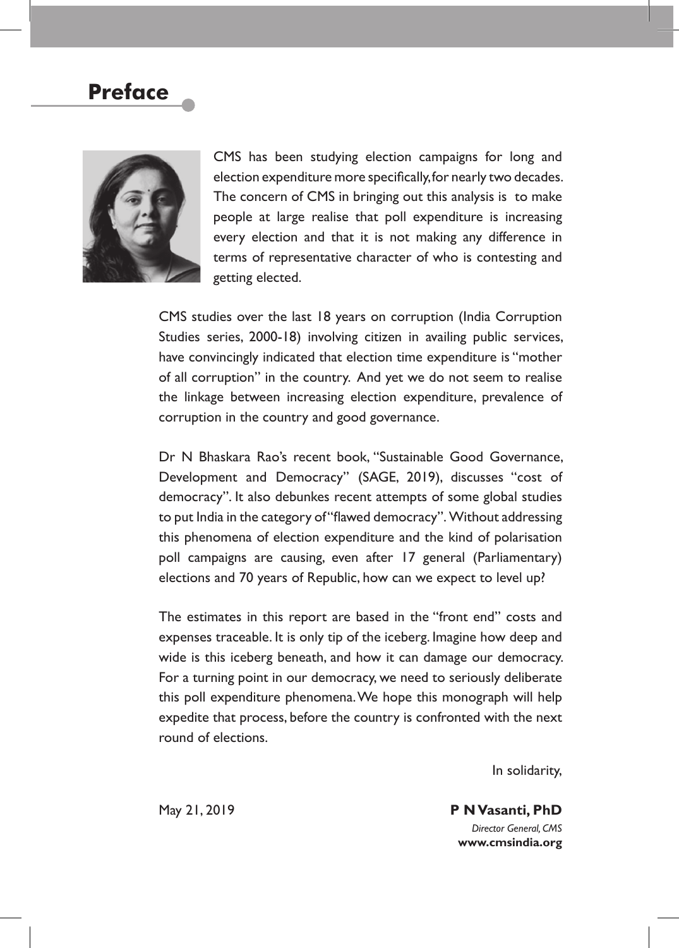## **Preface**



CMS has been studying election campaigns for long and election expenditure more specifically, for nearly two decades. The concern of CMS in bringing out this analysis is to make people at large realise that poll expenditure is increasing every election and that it is not making any difference in terms of representative character of who is contesting and getting elected.

CMS studies over the last 18 years on corruption (India Corruption Studies series, 2000-18) involving citizen in availing public services, have convincingly indicated that election time expenditure is "mother of all corruption" in the country. And yet we do not seem to realise the linkage between increasing election expenditure, prevalence of corruption in the country and good governance.

Dr N Bhaskara Rao's recent book, "Sustainable Good Governance, Development and Democracy" (SAGE, 2019), discusses "cost of democracy". It also debunkes recent attempts of some global studies to put India in the category of "flawed democracy". Without addressing this phenomena of election expenditure and the kind of polarisation poll campaigns are causing, even after 17 general (Parliamentary) elections and 70 years of Republic, how can we expect to level up?

The estimates in this report are based in the "front end" costs and expenses traceable. It is only tip of the iceberg. Imagine how deep and wide is this iceberg beneath, and how it can damage our democracy. For a turning point in our democracy, we need to seriously deliberate this poll expenditure phenomena. We hope this monograph will help expedite that process, before the country is confronted with the next round of elections.

In solidarity,

May 21, 2019 **P N Vasanti, PhD** *Director General, CMS* **www.cmsindia.org**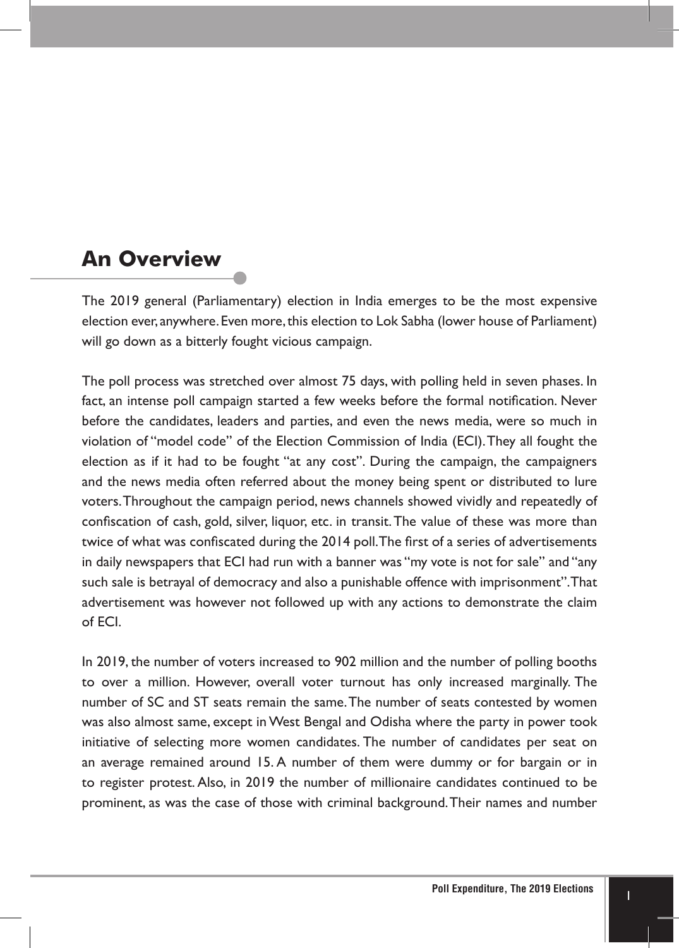## **An Overview**

The 2019 general (Parliamentary) election in India emerges to be the most expensive election ever, anywhere. Even more, this election to Lok Sabha (lower house of Parliament) will go down as a bitterly fought vicious campaign.

The poll process was stretched over almost 75 days, with polling held in seven phases. In fact, an intense poll campaign started a few weeks before the formal notification. Never before the candidates, leaders and parties, and even the news media, were so much in violation of "model code" of the Election Commission of India (ECI). They all fought the election as if it had to be fought "at any cost". During the campaign, the campaigners and the news media often referred about the money being spent or distributed to lure voters. Throughout the campaign period, news channels showed vividly and repeatedly of confiscation of cash, gold, silver, liquor, etc. in transit. The value of these was more than twice of what was confiscated during the 2014 poll. The first of a series of advertisements in daily newspapers that ECI had run with a banner was "my vote is not for sale" and "any such sale is betrayal of democracy and also a punishable offence with imprisonment". That advertisement was however not followed up with any actions to demonstrate the claim of ECI.

In 2019, the number of voters increased to 902 million and the number of polling booths to over a million. However, overall voter turnout has only increased marginally. The number of SC and ST seats remain the same. The number of seats contested by women was also almost same, except in West Bengal and Odisha where the party in power took initiative of selecting more women candidates. The number of candidates per seat on an average remained around 15. A number of them were dummy or for bargain or in to register protest. Also, in 2019 the number of millionaire candidates continued to be prominent, as was the case of those with criminal background. Their names and number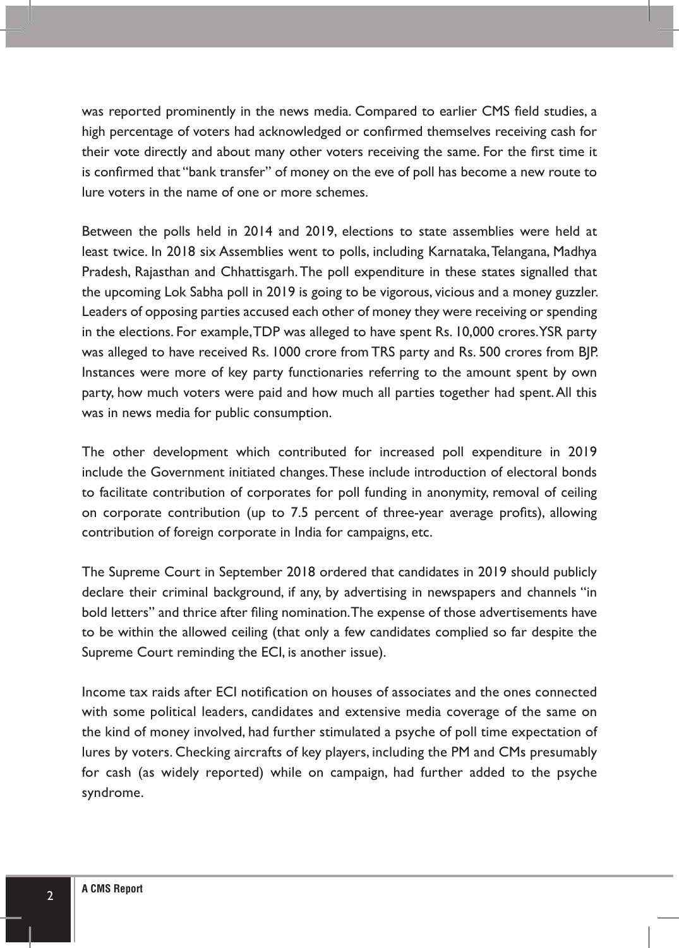was reported prominently in the news media. Compared to earlier CMS field studies, a high percentage of voters had acknowledged or confirmed themselves receiving cash for their vote directly and about many other voters receiving the same. For the first time it is confirmed that "bank transfer" of money on the eve of poll has become a new route to lure voters in the name of one or more schemes.

Between the polls held in 2014 and 2019, elections to state assemblies were held at least twice. In 2018 six Assemblies went to polls, including Karnataka, Telangana, Madhya Pradesh, Rajasthan and Chhattisgarh. The poll expenditure in these states signalled that the upcoming Lok Sabha poll in 2019 is going to be vigorous, vicious and a money guzzler. Leaders of opposing parties accused each other of money they were receiving or spending in the elections. For example, TDP was alleged to have spent Rs. 10,000 crores. YSR party was alleged to have received Rs. 1000 crore from TRS party and Rs. 500 crores from BJP. Instances were more of key party functionaries referring to the amount spent by own party, how much voters were paid and how much all parties together had spent. All this was in news media for public consumption.

The other development which contributed for increased poll expenditure in 2019 include the Government initiated changes. These include introduction of electoral bonds to facilitate contribution of corporates for poll funding in anonymity, removal of ceiling on corporate contribution (up to 7.5 percent of three-year average profits), allowing contribution of foreign corporate in India for campaigns, etc.

The Supreme Court in September 2018 ordered that candidates in 2019 should publicly declare their criminal background, if any, by advertising in newspapers and channels "in bold letters" and thrice after filing nomination. The expense of those advertisements have to be within the allowed ceiling (that only a few candidates complied so far despite the Supreme Court reminding the ECI, is another issue).

Income tax raids after ECI notification on houses of associates and the ones connected with some political leaders, candidates and extensive media coverage of the same on the kind of money involved, had further stimulated a psyche of poll time expectation of lures by voters. Checking aircrafts of key players, including the PM and CMs presumably for cash (as widely reported) while on campaign, had further added to the psyche syndrome.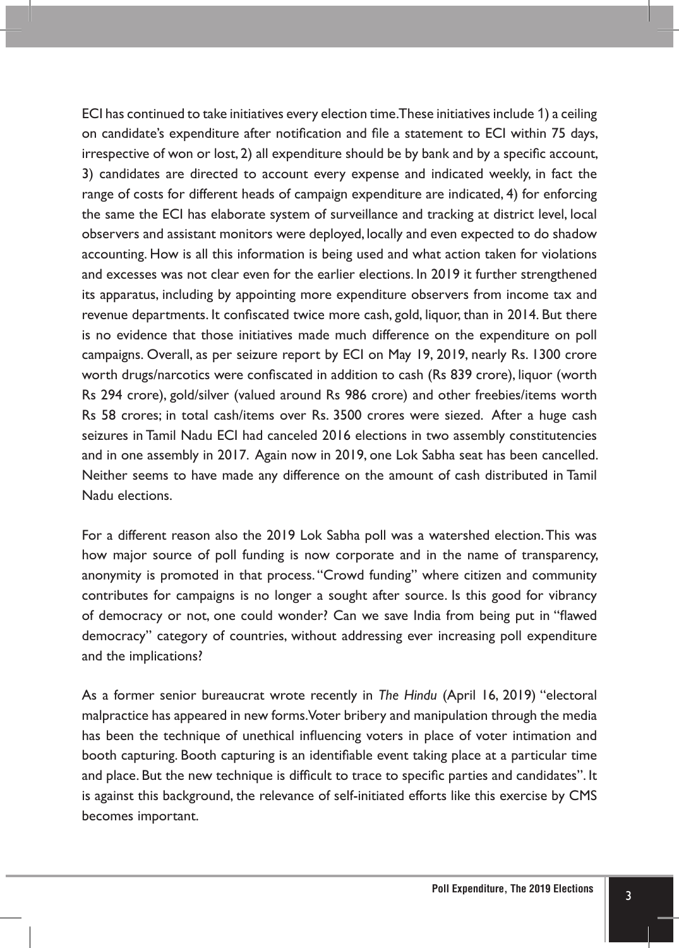ECI has continued to take initiatives every election time. These initiatives include 1) a ceiling on candidate's expenditure after notification and file a statement to ECI within 75 days, irrespective of won or lost, 2) all expenditure should be by bank and by a specific account, 3) candidates are directed to account every expense and indicated weekly, in fact the range of costs for different heads of campaign expenditure are indicated, 4) for enforcing the same the ECI has elaborate system of surveillance and tracking at district level, local observers and assistant monitors were deployed, locally and even expected to do shadow accounting. How is all this information is being used and what action taken for violations and excesses was not clear even for the earlier elections. In 2019 it further strengthened its apparatus, including by appointing more expenditure observers from income tax and revenue departments. It confiscated twice more cash, gold, liquor, than in 2014. But there is no evidence that those initiatives made much difference on the expenditure on poll campaigns. Overall, as per seizure report by ECI on May 19, 2019, nearly Rs. 1300 crore worth drugs/narcotics were confiscated in addition to cash (Rs 839 crore), liquor (worth Rs 294 crore), gold/silver (valued around Rs 986 crore) and other freebies/items worth Rs 58 crores; in total cash/items over Rs. 3500 crores were siezed. After a huge cash seizures in Tamil Nadu ECI had canceled 2016 elections in two assembly constitutencies and in one assembly in 2017. Again now in 2019, one Lok Sabha seat has been cancelled. Neither seems to have made any difference on the amount of cash distributed in Tamil Nadu elections.

For a different reason also the 2019 Lok Sabha poll was a watershed election. This was how major source of poll funding is now corporate and in the name of transparency, anonymity is promoted in that process. "Crowd funding" where citizen and community contributes for campaigns is no longer a sought after source. Is this good for vibrancy of democracy or not, one could wonder? Can we save India from being put in "flawed democracy" category of countries, without addressing ever increasing poll expenditure and the implications?

As a former senior bureaucrat wrote recently in *The Hindu* (April 16, 2019) "electoral malpractice has appeared in new forms. Voter bribery and manipulation through the media has been the technique of unethical influencing voters in place of voter intimation and booth capturing. Booth capturing is an identifiable event taking place at a particular time and place. But the new technique is difficult to trace to specific parties and candidates". It is against this background, the relevance of self-initiated efforts like this exercise by CMS becomes important.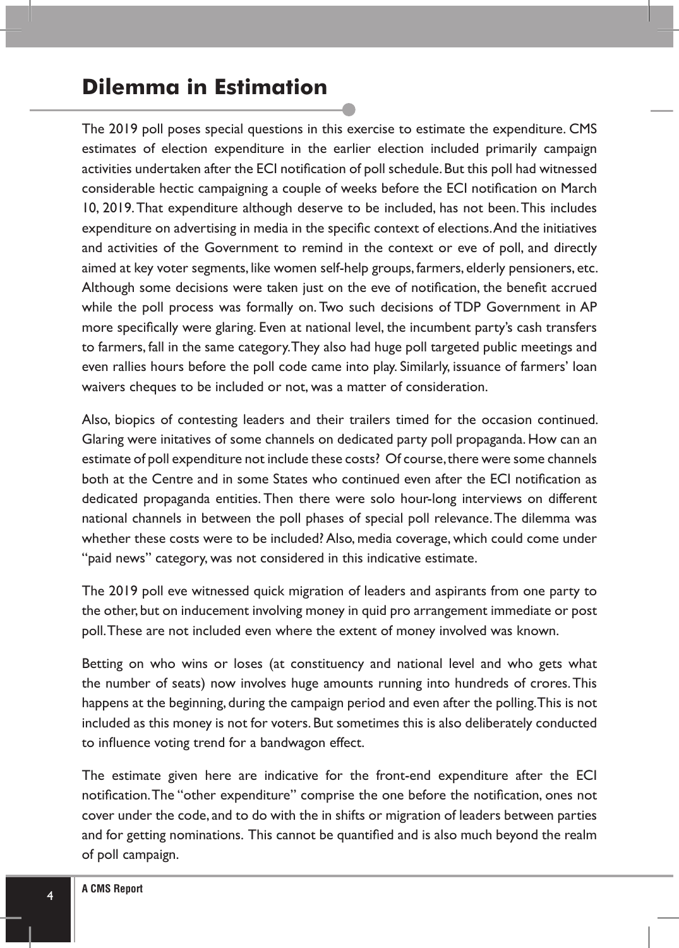## **Dilemma in Estimation**

The 2019 poll poses special questions in this exercise to estimate the expenditure. CMS estimates of election expenditure in the earlier election included primarily campaign activities undertaken after the ECI notification of poll schedule. But this poll had witnessed considerable hectic campaigning a couple of weeks before the ECI notification on March 10, 2019. That expenditure although deserve to be included, has not been. This includes expenditure on advertising in media in the specific context of elections. And the initiatives and activities of the Government to remind in the context or eve of poll, and directly aimed at key voter segments, like women self-help groups, farmers, elderly pensioners, etc. Although some decisions were taken just on the eve of notification, the benefit accrued while the poll process was formally on. Two such decisions of TDP Government in AP more specifically were glaring. Even at national level, the incumbent party's cash transfers to farmers, fall in the same category. They also had huge poll targeted public meetings and even rallies hours before the poll code came into play. Similarly, issuance of farmers' loan waivers cheques to be included or not, was a matter of consideration.

Also, biopics of contesting leaders and their trailers timed for the occasion continued. Glaring were initatives of some channels on dedicated party poll propaganda. How can an estimate of poll expenditure not include these costs? Of course, there were some channels both at the Centre and in some States who continued even after the ECI notification as dedicated propaganda entities. Then there were solo hour-long interviews on different national channels in between the poll phases of special poll relevance. The dilemma was whether these costs were to be included? Also, media coverage, which could come under "paid news" category, was not considered in this indicative estimate.

The 2019 poll eve witnessed quick migration of leaders and aspirants from one party to the other, but on inducement involving money in quid pro arrangement immediate or post poll. These are not included even where the extent of money involved was known.

Betting on who wins or loses (at constituency and national level and who gets what the number of seats) now involves huge amounts running into hundreds of crores. This happens at the beginning, during the campaign period and even after the polling. This is not included as this money is not for voters. But sometimes this is also deliberately conducted to influence voting trend for a bandwagon effect.

The estimate given here are indicative for the front-end expenditure after the ECI notification. The "other expenditure" comprise the one before the notification, ones not cover under the code, and to do with the in shifts or migration of leaders between parties and for getting nominations. This cannot be quantified and is also much beyond the realm of poll campaign.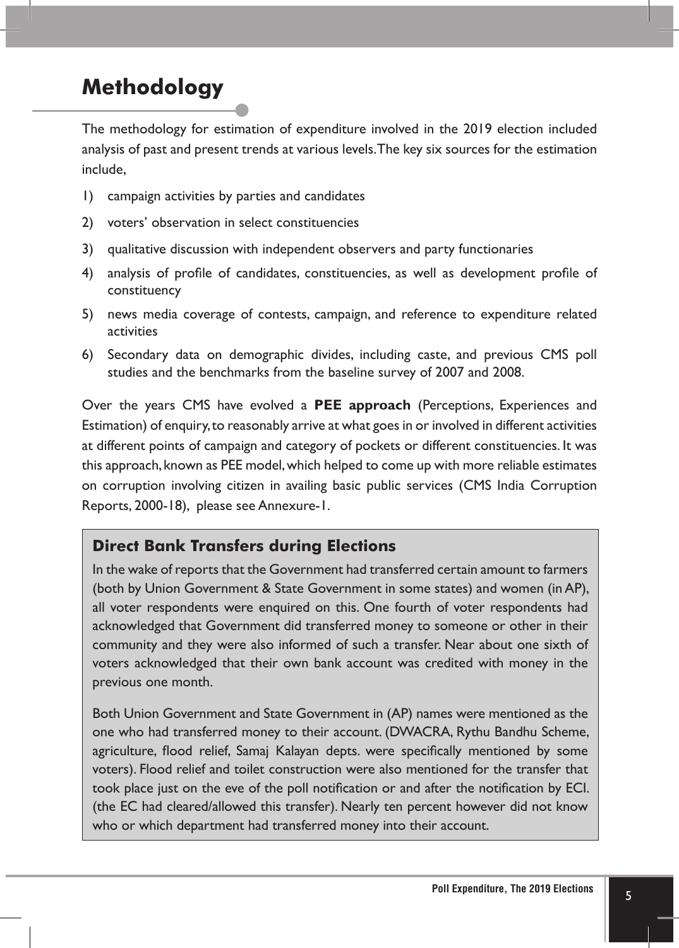## **Methodology**

The methodology for estimation of expenditure involved in the 2019 election included analysis of past and present trends at various levels. The key six sources for the estimation include,

- 1) campaign activities by parties and candidates
- 2) voters' observation in select constituencies
- 3) qualitative discussion with independent observers and party functionaries
- 4) analysis of profile of candidates, constituencies, as well as development profile of constituency
- 5) news media coverage of contests, campaign, and reference to expenditure related activities
- 6) Secondary data on demographic divides, including caste, and previous CMS poll studies and the benchmarks from the baseline survey of 2007 and 2008.

Over the years CMS have evolved a **PEE approach** (Perceptions, Experiences and Estimation) of enquiry, to reasonably arrive at what goes in or involved in different activities at different points of campaign and category of pockets or different constituencies. It was this approach, known as PEE model, which helped to come up with more reliable estimates on corruption involving citizen in availing basic public services (CMS India Corruption Reports, 2000-18), please see Annexure-1.

#### **Direct Bank Transfers during Elections**

In the wake of reports that the Government had transferred certain amount to farmers (both by Union Government & State Government in some states) and women (in AP), all voter respondents were enquired on this. One fourth of voter respondents had acknowledged that Government did transferred money to someone or other in their community and they were also informed of such a transfer. Near about one sixth of voters acknowledged that their own bank account was credited with money in the previous one month.

Both Union Government and State Government in (AP) names were mentioned as the one who had transferred money to their account. (DWACRA, Rythu Bandhu Scheme, agriculture, flood relief, Samaj Kalayan depts. were specifically mentioned by some voters). Flood relief and toilet construction were also mentioned for the transfer that took place just on the eve of the poll notification or and after the notification by ECI. (the EC had cleared/allowed this transfer). Nearly ten percent however did not know who or which department had transferred money into their account.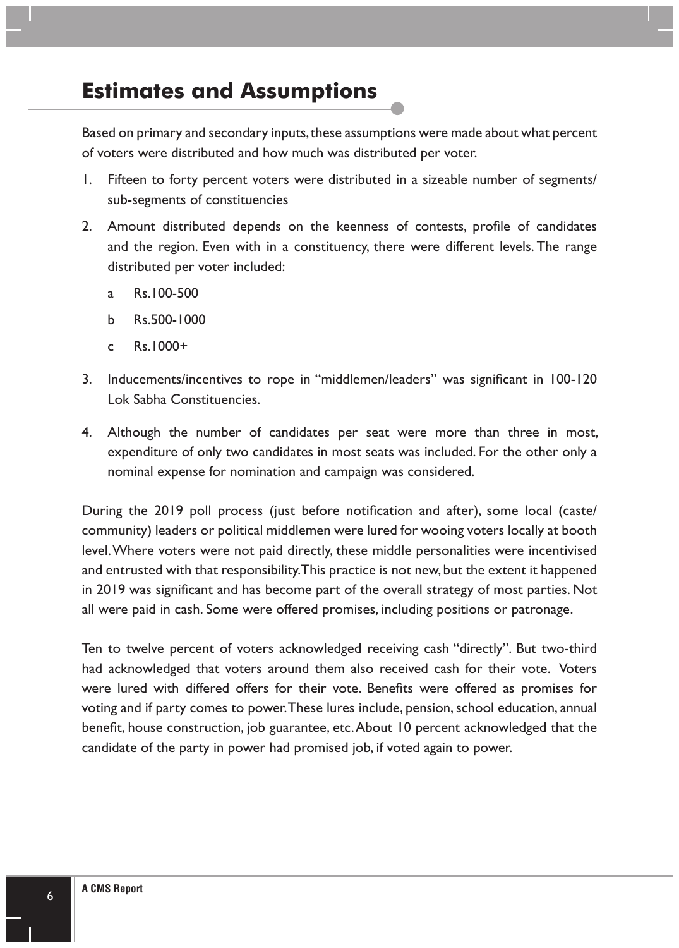## **Estimates and Assumptions**

Based on primary and secondary inputs, these assumptions were made about what percent of voters were distributed and how much was distributed per voter.

- 1. Fifteen to forty percent voters were distributed in a sizeable number of segments/ sub-segments of constituencies
- 2. Amount distributed depends on the keenness of contests, profile of candidates and the region. Even with in a constituency, there were different levels. The range distributed per voter included:
	- a Rs.100-500
	- b Rs.500-1000
	- c Rs.1000+
- 3. Inducements/incentives to rope in "middlemen/leaders" was significant in 100-120 Lok Sabha Constituencies.
- 4. Although the number of candidates per seat were more than three in most, expenditure of only two candidates in most seats was included. For the other only a nominal expense for nomination and campaign was considered.

During the 2019 poll process (just before notification and after), some local (caste/ community) leaders or political middlemen were lured for wooing voters locally at booth level. Where voters were not paid directly, these middle personalities were incentivised and entrusted with that responsibility. This practice is not new, but the extent it happened in 2019 was significant and has become part of the overall strategy of most parties. Not all were paid in cash. Some were offered promises, including positions or patronage.

Ten to twelve percent of voters acknowledged receiving cash "directly". But two-third had acknowledged that voters around them also received cash for their vote. Voters were lured with differed offers for their vote. Benefits were offered as promises for voting and if party comes to power. These lures include, pension, school education, annual benefit, house construction, job guarantee, etc. About 10 percent acknowledged that the candidate of the party in power had promised job, if voted again to power.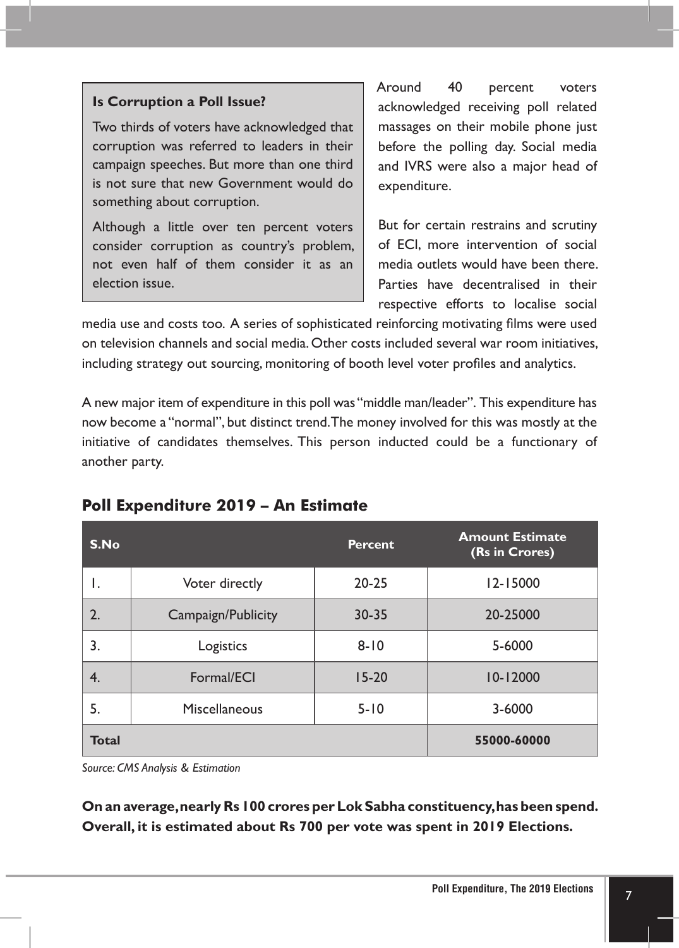#### **Is Corruption a Poll Issue?**

Two thirds of voters have acknowledged that corruption was referred to leaders in their campaign speeches. But more than one third is not sure that new Government would do something about corruption.

Although a little over ten percent voters consider corruption as country's problem, not even half of them consider it as an election issue.

Around 40 percent voters acknowledged receiving poll related massages on their mobile phone just before the polling day. Social media and IVRS were also a major head of expenditure.

But for certain restrains and scrutiny of ECI, more intervention of social media outlets would have been there. Parties have decentralised in their respective efforts to localise social

media use and costs too. A series of sophisticated reinforcing motivating films were used on television channels and social media. Other costs included several war room initiatives, including strategy out sourcing, monitoring of booth level voter profiles and analytics.

A new major item of expenditure in this poll was "middle man/leader". This expenditure has now become a "normal", but distinct trend. The money involved for this was mostly at the initiative of candidates themselves. This person inducted could be a functionary of another party.

| S.No         |                    | <b>Percent</b> | <b>Amount Estimate</b><br>(Rs in Crores) |
|--------------|--------------------|----------------|------------------------------------------|
| ۱.           | Voter directly     | $20 - 25$      | $12 - 15000$                             |
| 2.           | Campaign/Publicity | $30 - 35$      | 20-25000                                 |
| 3.           | Logistics          | $8 - 10$       | 5-6000                                   |
| 4.           | Formal/ECI         | $15-20$        | $10 - 12000$                             |
| 5.           | Miscellaneous      | $5 - 10$       | 3-6000                                   |
| <b>Total</b> |                    |                | 55000-60000                              |

#### **Poll Expenditure 2019 – An Estimate**

*Source: CMS Analysis & Estimation*

**On an average, nearly Rs 100 crores per Lok Sabha constituency, has been spend. Overall, it is estimated about Rs 700 per vote was spent in 2019 Elections.**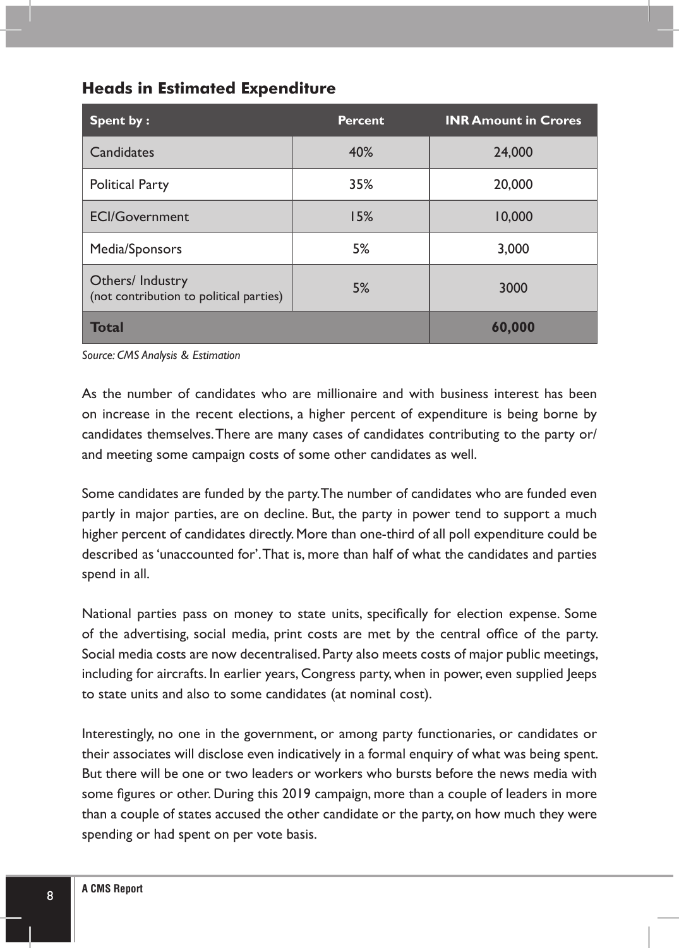| Spent by:                                                   | <b>Percent</b> | <b>INR Amount in Crores</b> |
|-------------------------------------------------------------|----------------|-----------------------------|
| Candidates                                                  | 40%            | 24,000                      |
| <b>Political Party</b>                                      | 35%            | 20,000                      |
| <b>ECI/Government</b>                                       | 15%            | 10,000                      |
| Media/Sponsors                                              | 5%             | 3,000                       |
| Others/ Industry<br>(not contribution to political parties) | 5%             | 3000                        |
| Total                                                       |                | 60,000                      |

#### **Heads in Estimated Expenditure**

*Source: CMS Analysis & Estimation* 

As the number of candidates who are millionaire and with business interest has been on increase in the recent elections, a higher percent of expenditure is being borne by candidates themselves. There are many cases of candidates contributing to the party or/ and meeting some campaign costs of some other candidates as well.

Some candidates are funded by the party. The number of candidates who are funded even partly in major parties, are on decline. But, the party in power tend to support a much higher percent of candidates directly. More than one-third of all poll expenditure could be described as 'unaccounted for'. That is, more than half of what the candidates and parties spend in all.

National parties pass on money to state units, specifically for election expense. Some of the advertising, social media, print costs are met by the central office of the party. Social media costs are now decentralised. Party also meets costs of major public meetings, including for aircrafts. In earlier years, Congress party, when in power, even supplied Jeeps to state units and also to some candidates (at nominal cost).

Interestingly, no one in the government, or among party functionaries, or candidates or their associates will disclose even indicatively in a formal enquiry of what was being spent. But there will be one or two leaders or workers who bursts before the news media with some figures or other. During this 2019 campaign, more than a couple of leaders in more than a couple of states accused the other candidate or the party, on how much they were spending or had spent on per vote basis.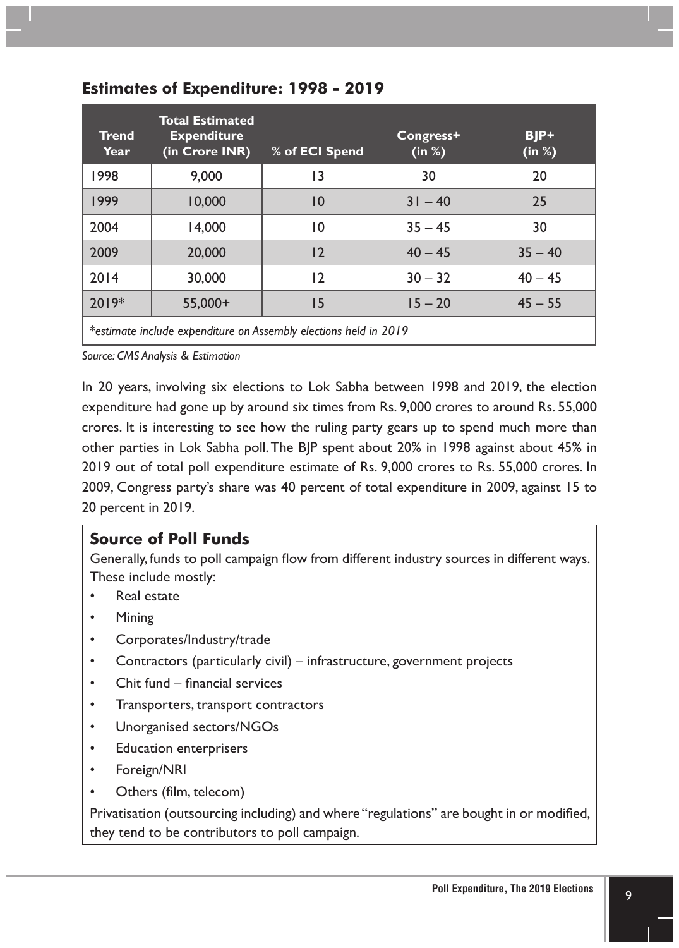| <b>Trend</b><br>Year                                             | <b>Total Estimated</b><br><b>Expenditure</b><br>(in Crore INR) | % of ECI Spend  | Congress+<br>(in %) | BJP+<br>(in %) |
|------------------------------------------------------------------|----------------------------------------------------------------|-----------------|---------------------|----------------|
| 1998                                                             | 9.000                                                          | 13              | 30                  | 20             |
| 1999                                                             | 10,000                                                         | $\overline{10}$ | $31 - 40$           | 25             |
| 2004                                                             | 14.000                                                         | 10              | $35 - 45$           | 30             |
| 2009                                                             | 20,000                                                         | $\overline{2}$  | $40 - 45$           | $35 - 40$      |
| 2014                                                             | 30,000                                                         | 12              | $30 - 32$           | $40 - 45$      |
| $2019*$                                                          | $55,000+$                                                      | 15              | $15 - 20$           | $45 - 55$      |
| *estimate include expenditure on Assembly elections held in 2010 |                                                                |                 |                     |                |

#### **Estimates of Expenditure: 1998 - 2019**

\**estimate include expenditure on Assembly elections held in 2019*

*Source: CMS Analysis & Estimation*

In 20 years, involving six elections to Lok Sabha between 1998 and 2019, the election expenditure had gone up by around six times from Rs. 9,000 crores to around Rs. 55,000 crores. It is interesting to see how the ruling party gears up to spend much more than other parties in Lok Sabha poll. The BJP spent about 20% in 1998 against about 45% in 2019 out of total poll expenditure estimate of Rs. 9,000 crores to Rs. 55,000 crores. In 2009, Congress party's share was 40 percent of total expenditure in 2009, against 15 to 20 percent in 2019.

#### **Source of Poll Funds**

Generally, funds to poll campaign flow from different industry sources in different ways. These include mostly:

- Real estate
- Mining
- Corporates/Industry/trade
- Contractors (particularly civil) infrastructure, government projects
- Chit fund financial services
- Transporters, transport contractors
- Unorganised sectors/NGOs
- Education enterprisers
- Foreign/NRI
- Others (film, telecom)

Privatisation (outsourcing including) and where "regulations" are bought in or modified, they tend to be contributors to poll campaign.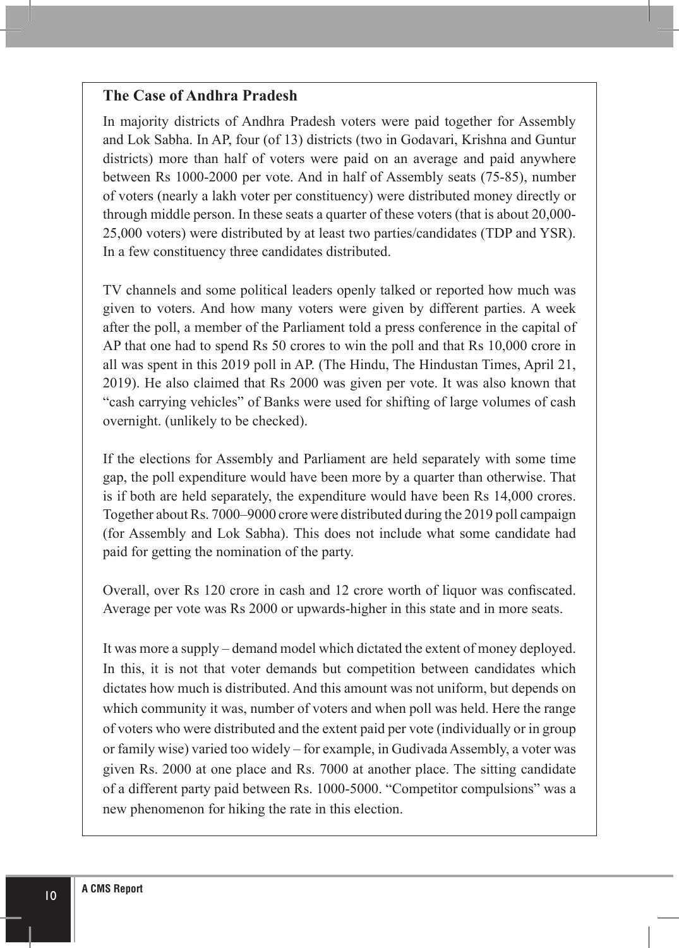#### **The Case of Andhra Pradesh**

In majority districts of Andhra Pradesh voters were paid together for Assembly and Lok Sabha. In AP, four (of 13) districts (two in Godavari, Krishna and Guntur districts) more than half of voters were paid on an average and paid anywhere between Rs 1000-2000 per vote. And in half of Assembly seats (75-85), number of voters (nearly a lakh voter per constituency) were distributed money directly or through middle person. In these seats a quarter of these voters (that is about 20,000- 25,000 voters) were distributed by at least two parties/candidates (TDP and YSR). In a few constituency three candidates distributed.

TV channels and some political leaders openly talked or reported how much was given to voters. And how many voters were given by different parties. A week after the poll, a member of the Parliament told a press conference in the capital of AP that one had to spend Rs 50 crores to win the poll and that Rs 10,000 crore in all was spent in this 2019 poll in AP. (The Hindu, The Hindustan Times, April 21, 2019). He also claimed that Rs 2000 was given per vote. It was also known that "cash carrying vehicles" of Banks were used for shifting of large volumes of cash overnight. (unlikely to be checked).

If the elections for Assembly and Parliament are held separately with some time gap, the poll expenditure would have been more by a quarter than otherwise. That is if both are held separately, the expenditure would have been Rs 14,000 crores. Together about Rs. 7000–9000 crore were distributed during the 2019 poll campaign (for Assembly and Lok Sabha). This does not include what some candidate had paid for getting the nomination of the party.

Overall, over Rs 120 crore in cash and 12 crore worth of liquor was confiscated. Average per vote was Rs 2000 or upwards-higher in this state and in more seats.

It was more a supply – demand model which dictated the extent of money deployed. In this, it is not that voter demands but competition between candidates which dictates how much is distributed. And this amount was not uniform, but depends on which community it was, number of voters and when poll was held. Here the range of voters who were distributed and the extent paid per vote (individually or in group or family wise) varied too widely – for example, in Gudivada Assembly, a voter was given Rs. 2000 at one place and Rs. 7000 at another place. The sitting candidate of a different party paid between Rs. 1000-5000. "Competitor compulsions" was a new phenomenon for hiking the rate in this election.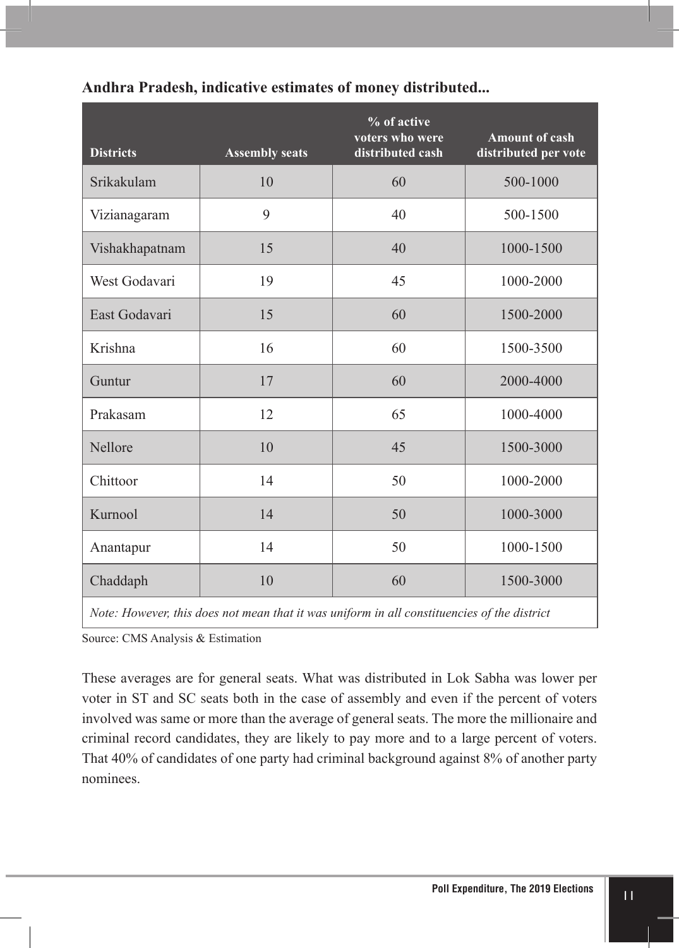| <b>Districts</b> | <b>Assembly seats</b> | % of active<br>voters who were<br>distributed cash | <b>Amount of cash</b><br>distributed per vote |
|------------------|-----------------------|----------------------------------------------------|-----------------------------------------------|
| Srikakulam       | 10                    | 60                                                 | 500-1000                                      |
| Vizianagaram     | 9                     | 40                                                 | 500-1500                                      |
| Vishakhapatnam   | 15                    | 40                                                 | 1000-1500                                     |
| West Godavari    | 19                    | 45                                                 | 1000-2000                                     |
| East Godavari    | 15                    | 60                                                 | 1500-2000                                     |
| Krishna          | 16                    | 60                                                 | 1500-3500                                     |
| Guntur           | 17                    | 60                                                 | 2000-4000                                     |
| Prakasam         | 12                    | 65                                                 | 1000-4000                                     |
| Nellore          | 10                    | 45                                                 | 1500-3000                                     |
| Chittoor         | 14                    | 50                                                 | 1000-2000                                     |
| Kurnool          | 14                    | 50                                                 | 1000-3000                                     |
| Anantapur        | 14                    | 50                                                 | 1000-1500                                     |
| Chaddaph         | 10                    | 60                                                 | 1500-3000                                     |

#### **Andhra Pradesh, indicative estimates of money distributed...**

*Note: However, this does not mean that it was uniform in all constituencies of the district*

Source: CMS Analysis & Estimation

These averages are for general seats. What was distributed in Lok Sabha was lower per voter in ST and SC seats both in the case of assembly and even if the percent of voters involved was same or more than the average of general seats. The more the millionaire and criminal record candidates, they are likely to pay more and to a large percent of voters. That 40% of candidates of one party had criminal background against 8% of another party nominees.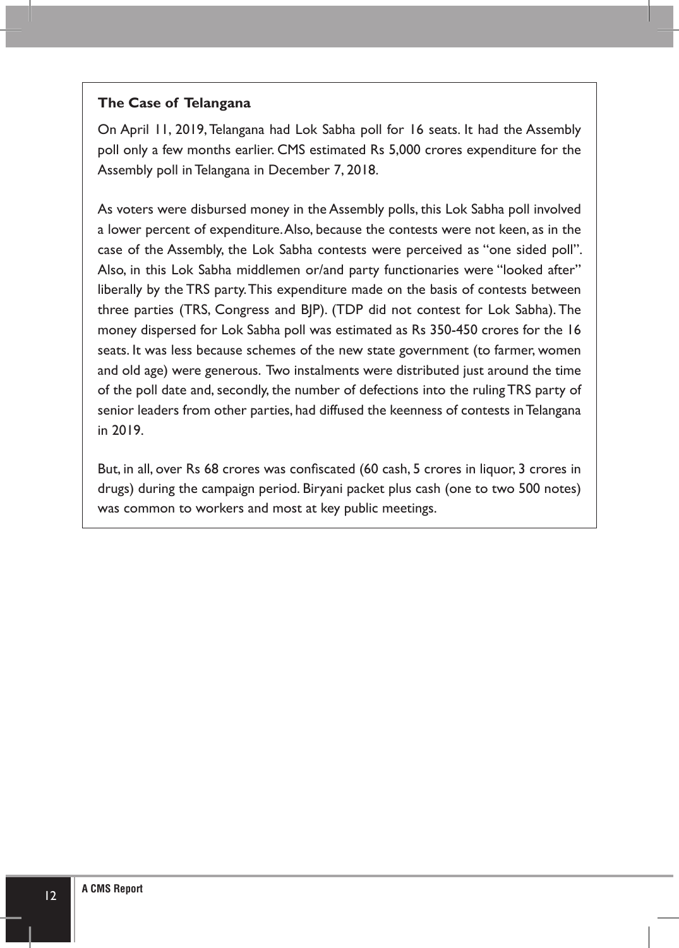#### **The Case of Telangana**

On April 11, 2019, Telangana had Lok Sabha poll for 16 seats. It had the Assembly poll only a few months earlier. CMS estimated Rs 5,000 crores expenditure for the Assembly poll in Telangana in December 7, 2018.

As voters were disbursed money in the Assembly polls, this Lok Sabha poll involved a lower percent of expenditure. Also, because the contests were not keen, as in the case of the Assembly, the Lok Sabha contests were perceived as "one sided poll". Also, in this Lok Sabha middlemen or/and party functionaries were "looked after" liberally by the TRS party. This expenditure made on the basis of contests between three parties (TRS, Congress and BJP). (TDP did not contest for Lok Sabha). The money dispersed for Lok Sabha poll was estimated as Rs 350-450 crores for the 16 seats. It was less because schemes of the new state government (to farmer, women and old age) were generous. Two instalments were distributed just around the time of the poll date and, secondly, the number of defections into the ruling TRS party of senior leaders from other parties, had diffused the keenness of contests in Telangana in 2019.

But, in all, over Rs 68 crores was confiscated (60 cash, 5 crores in liquor, 3 crores in drugs) during the campaign period. Biryani packet plus cash (one to two 500 notes) was common to workers and most at key public meetings.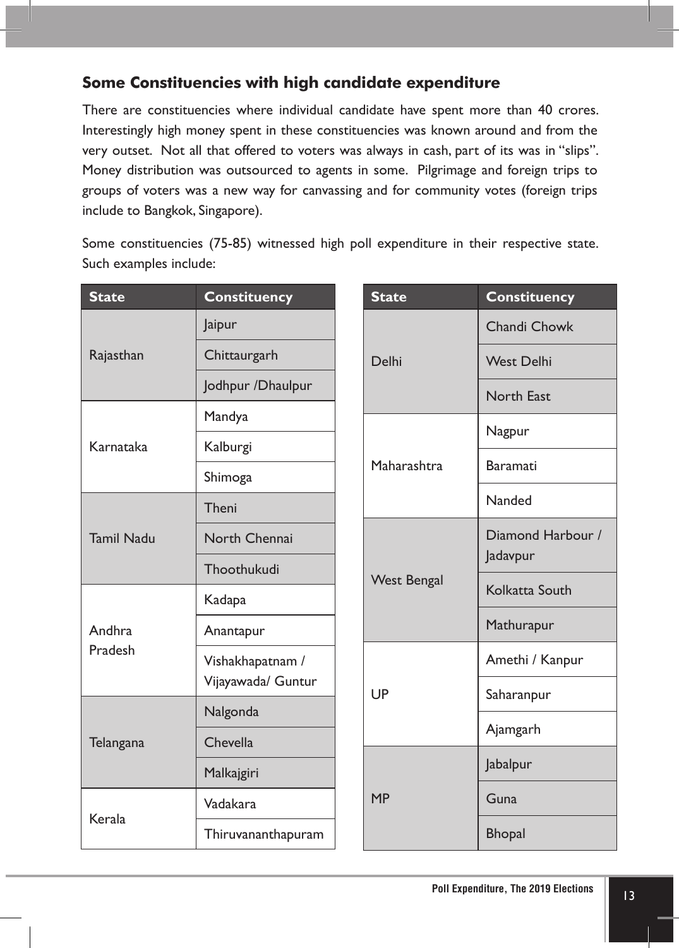#### **Some Constituencies with high candidate expenditure**

There are constituencies where individual candidate have spent more than 40 crores. Interestingly high money spent in these constituencies was known around and from the very outset. Not all that offered to voters was always in cash, part of its was in "slips". Money distribution was outsourced to agents in some. Pilgrimage and foreign trips to groups of voters was a new way for canvassing and for community votes (foreign trips include to Bangkok, Singapore).

Some constituencies (75-85) witnessed high poll expenditure in their respective state. Such examples include:

| <b>State</b>                   | <b>Constituency</b> |                 | <b>State</b>       | <b>Constituency</b> |
|--------------------------------|---------------------|-----------------|--------------------|---------------------|
| Rajasthan                      | Jaipur              | Delhi           |                    | Chandi Chowk        |
|                                | Chittaurgarh        |                 |                    | <b>West Delhi</b>   |
|                                | Jodhpur / Dhaulpur  |                 |                    | <b>North East</b>   |
| Karnataka<br><b>Tamil Nadu</b> | Mandya              |                 |                    | Nagpur              |
|                                | Kalburgi            |                 |                    |                     |
|                                | Shimoga             | Maharashtra     |                    | Baramati            |
|                                | Theni               |                 |                    | Nanded              |
|                                | North Chennai       |                 |                    | Diamond Harbour /   |
|                                | Thoothukudi         |                 | <b>West Bengal</b> | Jadavpur            |
| Andhra<br>Pradesh<br>Telangana | Kadapa              |                 |                    | Kolkatta South      |
|                                | Anantapur           |                 |                    | Mathurapur          |
|                                | Vishakhapatnam /    | UP<br><b>MP</b> |                    | Amethi / Kanpur     |
|                                | Vijayawada/ Guntur  |                 |                    | Saharanpur          |
|                                | Nalgonda            |                 |                    | Ajamgarh            |
|                                | Chevella            |                 |                    |                     |
|                                | Malkajgiri          |                 |                    | Jabalpur            |
| Kerala                         | Vadakara            |                 |                    | Guna                |
|                                | Thiruvananthapuram  |                 |                    | <b>Bhopal</b>       |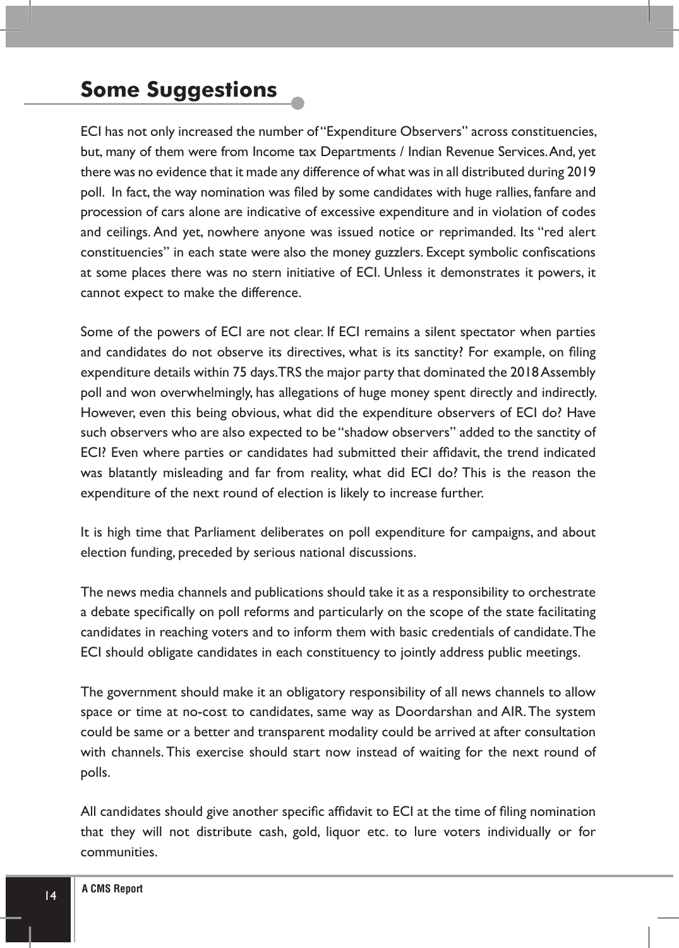## **Some Suggestions**

ECI has not only increased the number of "Expenditure Observers" across constituencies, but, many of them were from Income tax Departments / Indian Revenue Services. And, yet there was no evidence that it made any difference of what was in all distributed during 2019 poll. In fact, the way nomination was filed by some candidates with huge rallies, fanfare and procession of cars alone are indicative of excessive expenditure and in violation of codes and ceilings. And yet, nowhere anyone was issued notice or reprimanded. Its "red alert constituencies" in each state were also the money guzzlers. Except symbolic confiscations at some places there was no stern initiative of ECI. Unless it demonstrates it powers, it cannot expect to make the difference.

Some of the powers of ECI are not clear. If ECI remains a silent spectator when parties and candidates do not observe its directives, what is its sanctity? For example, on filing expenditure details within 75 days. TRS the major party that dominated the 2018 Assembly poll and won overwhelmingly, has allegations of huge money spent directly and indirectly. However, even this being obvious, what did the expenditure observers of ECI do? Have such observers who are also expected to be "shadow observers" added to the sanctity of ECI? Even where parties or candidates had submitted their affidavit, the trend indicated was blatantly misleading and far from reality, what did ECI do? This is the reason the expenditure of the next round of election is likely to increase further.

It is high time that Parliament deliberates on poll expenditure for campaigns, and about election funding, preceded by serious national discussions.

The news media channels and publications should take it as a responsibility to orchestrate a debate specifically on poll reforms and particularly on the scope of the state facilitating candidates in reaching voters and to inform them with basic credentials of candidate. The ECI should obligate candidates in each constituency to jointly address public meetings.

The government should make it an obligatory responsibility of all news channels to allow space or time at no-cost to candidates, same way as Doordarshan and AIR. The system could be same or a better and transparent modality could be arrived at after consultation with channels. This exercise should start now instead of waiting for the next round of polls.

All candidates should give another specific affidavit to ECI at the time of filing nomination that they will not distribute cash, gold, liquor etc. to lure voters individually or for communities.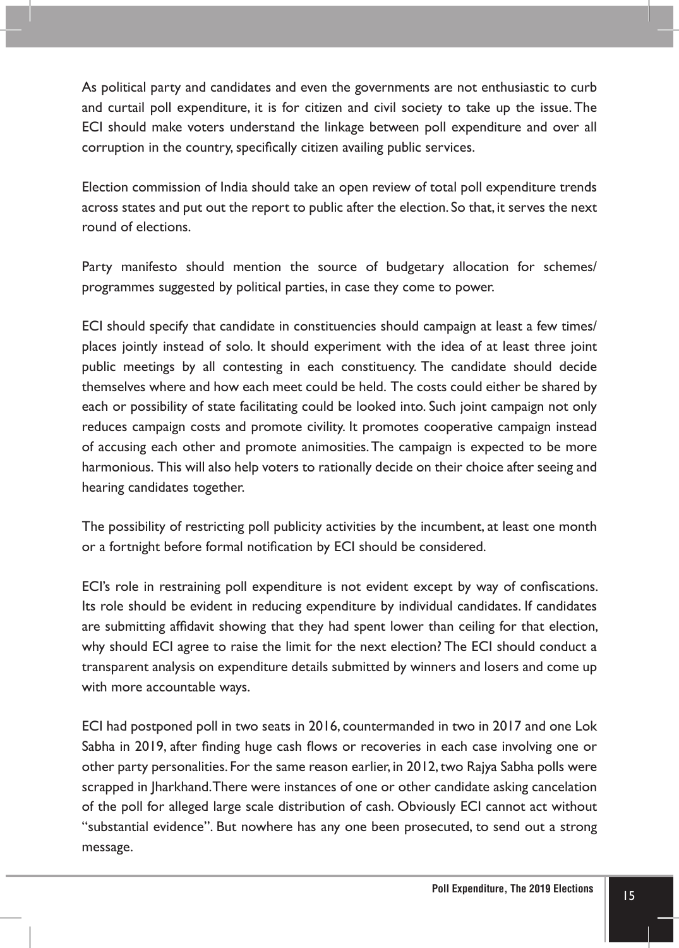As political party and candidates and even the governments are not enthusiastic to curb and curtail poll expenditure, it is for citizen and civil society to take up the issue. The ECI should make voters understand the linkage between poll expenditure and over all corruption in the country, specifically citizen availing public services.

Election commission of India should take an open review of total poll expenditure trends across states and put out the report to public after the election. So that, it serves the next round of elections.

Party manifesto should mention the source of budgetary allocation for schemes/ programmes suggested by political parties, in case they come to power.

ECI should specify that candidate in constituencies should campaign at least a few times/ places jointly instead of solo. It should experiment with the idea of at least three joint public meetings by all contesting in each constituency. The candidate should decide themselves where and how each meet could be held. The costs could either be shared by each or possibility of state facilitating could be looked into. Such joint campaign not only reduces campaign costs and promote civility. It promotes cooperative campaign instead of accusing each other and promote animosities. The campaign is expected to be more harmonious. This will also help voters to rationally decide on their choice after seeing and hearing candidates together.

The possibility of restricting poll publicity activities by the incumbent, at least one month or a fortnight before formal notification by ECI should be considered.

ECI's role in restraining poll expenditure is not evident except by way of confiscations. Its role should be evident in reducing expenditure by individual candidates. If candidates are submitting affidavit showing that they had spent lower than ceiling for that election, why should ECI agree to raise the limit for the next election? The ECI should conduct a transparent analysis on expenditure details submitted by winners and losers and come up with more accountable ways.

ECI had postponed poll in two seats in 2016, countermanded in two in 2017 and one Lok Sabha in 2019, after finding huge cash flows or recoveries in each case involving one or other party personalities. For the same reason earlier, in 2012, two Rajya Sabha polls were scrapped in Jharkhand. There were instances of one or other candidate asking cancelation of the poll for alleged large scale distribution of cash. Obviously ECI cannot act without "substantial evidence". But nowhere has any one been prosecuted, to send out a strong message.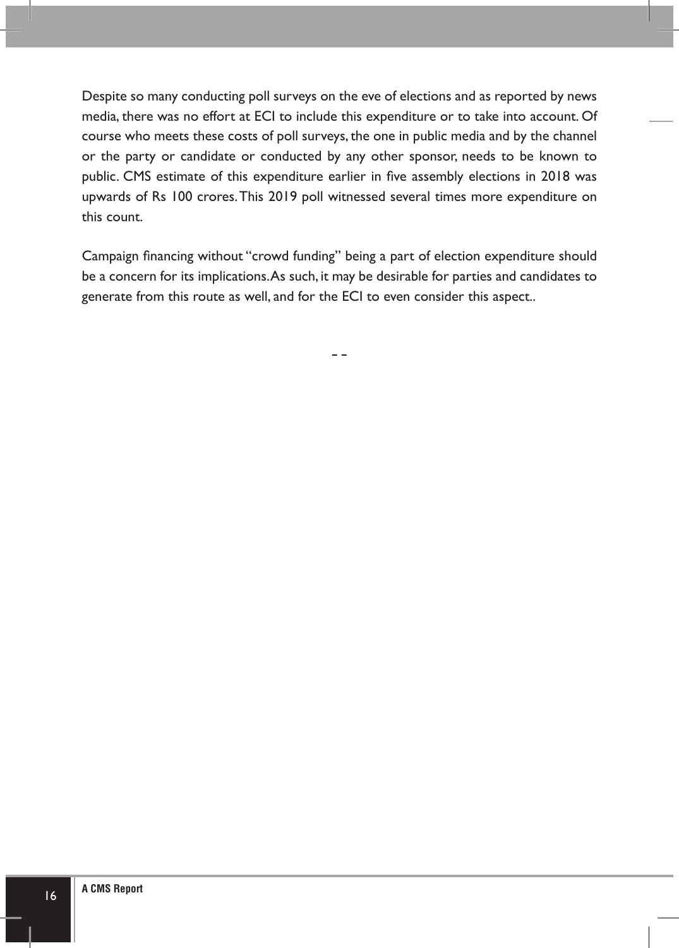Despite so many conducting poll surveys on the eve of elections and as reported by news media, there was no effort at ECI to include this expenditure or to take into account. Of course who meets these costs of poll surveys, the one in public media and by the channel or the party or candidate or conducted by any other sponsor, needs to be known to public. CMS estimate of this expenditure earlier in five assembly elections in 2018 was upwards of Rs 100 crores. This 2019 poll witnessed several times more expenditure on this count.

Campaign financing without "crowd funding" being a part of election expenditure should be a concern for its implications. As such, it may be desirable for parties and candidates to generate from this route as well, and for the ECI to even consider this aspect..

--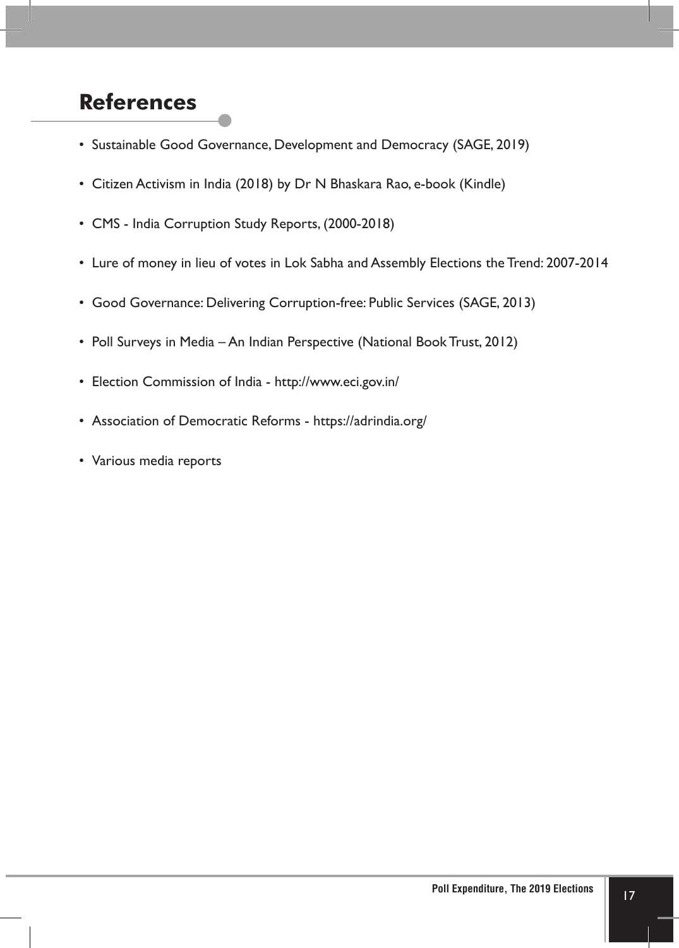## **References**

- Sustainable Good Governance, Development and Democracy (SAGE, 2019)
- Citizen Activism in India (2018) by Dr N Bhaskara Rao, e-book (Kindle)
- CMS India Corruption Study Reports, (2000-2018)
- Lure of money in lieu of votes in Lok Sabha and Assembly Elections the Trend: 2007-2014
- Good Governance: Delivering Corruption-free: Public Services (SAGE, 2013)
- Poll Surveys in Media An Indian Perspective (National Book Trust, 2012)
- Election Commission of India http://www.eci.gov.in/
- Association of Democratic Reforms https://adrindia.org/
- Various media reports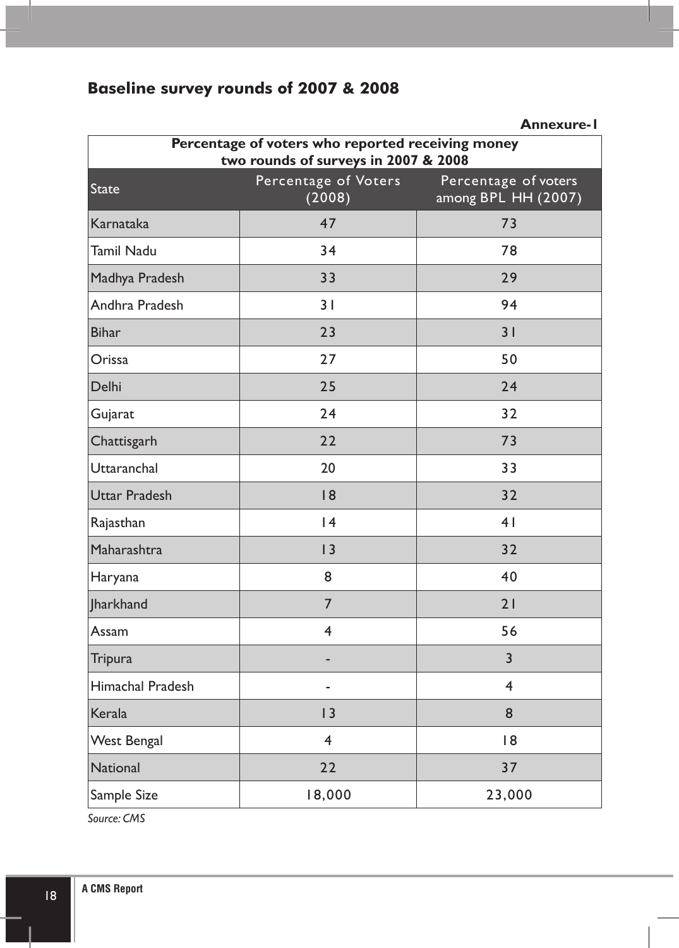## **Baseline survey rounds of 2007 & 2008**

|                                                                                           |                                | <b>Annexure-I</b>                            |  |
|-------------------------------------------------------------------------------------------|--------------------------------|----------------------------------------------|--|
| Percentage of voters who reported receiving money<br>two rounds of surveys in 2007 & 2008 |                                |                                              |  |
| <b>State</b>                                                                              | Percentage of Voters<br>(2008) | Percentage of voters<br>among BPL $HH(2007)$ |  |
| Karnataka                                                                                 | 47                             | 73                                           |  |
| <b>Tamil Nadu</b>                                                                         | 34                             | 78                                           |  |
| Madhya Pradesh                                                                            | 33                             | 29                                           |  |
| Andhra Pradesh                                                                            | 31                             | 94                                           |  |
| <b>Bihar</b>                                                                              | 23                             | 31                                           |  |
| Orissa                                                                                    | 27                             | 50                                           |  |
| Delhi                                                                                     | 25                             | 24                                           |  |
| Gujarat                                                                                   | 24                             | 32                                           |  |
| Chattisgarh                                                                               | 22                             | 73                                           |  |
| Uttaranchal                                                                               | 20                             | 33                                           |  |
| <b>Uttar Pradesh</b>                                                                      | 8                              | 32                                           |  |
| Rajasthan                                                                                 | 4                              | 4 <sub>1</sub>                               |  |
| Maharashtra                                                                               | 3                              | 32                                           |  |
| Haryana                                                                                   | 8                              | 40                                           |  |
| <b>Iharkhand</b>                                                                          | 7                              | 21                                           |  |
| Assam                                                                                     | $\overline{4}$                 | 56                                           |  |
| Tripura                                                                                   |                                | 3                                            |  |
| Himachal Pradesh                                                                          | $\overline{a}$                 | 4                                            |  |
| Kerala                                                                                    | 3                              | 8                                            |  |
| <b>West Bengal</b>                                                                        | $\overline{\mathbf{4}}$        | 8                                            |  |
| <b>National</b>                                                                           | 22                             | 37                                           |  |
| Sample Size                                                                               | 18,000                         | 23,000                                       |  |

*Source: CMS*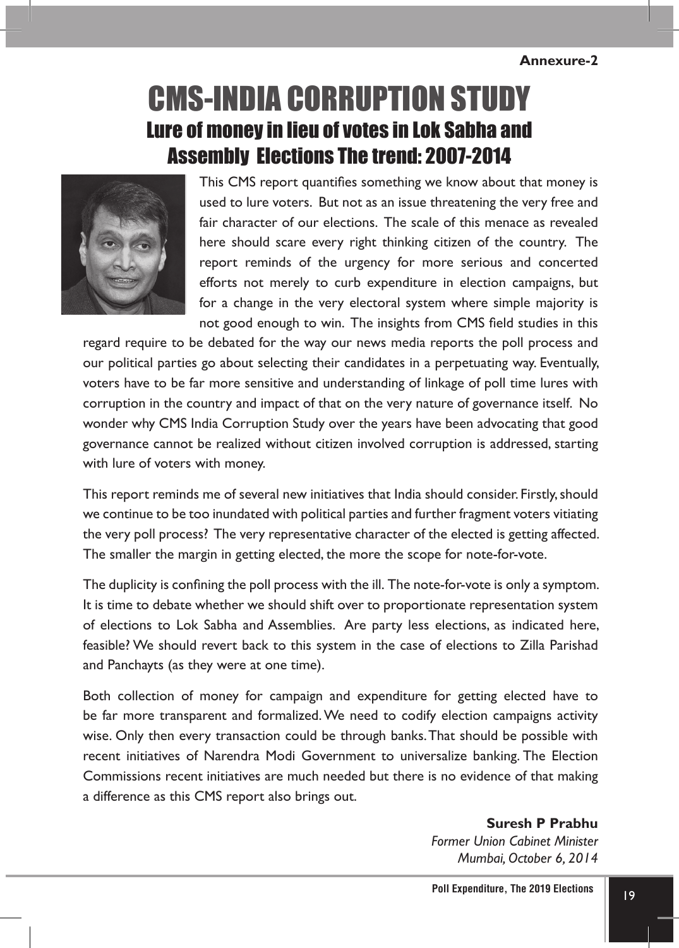#### **Annexure-2**

## Lure of money in lieu of votes in Lok Sabha and Assembly Elections The trend: 2007-2014 CMS-India Corruption Study



This CMS report quantifies something we know about that money is used to lure voters. But not as an issue threatening the very free and fair character of our elections. The scale of this menace as revealed here should scare every right thinking citizen of the country. The report reminds of the urgency for more serious and concerted efforts not merely to curb expenditure in election campaigns, but for a change in the very electoral system where simple majority is not good enough to win. The insights from CMS field studies in this

regard require to be debated for the way our news media reports the poll process and our political parties go about selecting their candidates in a perpetuating way. Eventually, voters have to be far more sensitive and understanding of linkage of poll time lures with corruption in the country and impact of that on the very nature of governance itself. No wonder why CMS India Corruption Study over the years have been advocating that good governance cannot be realized without citizen involved corruption is addressed, starting with lure of voters with money.

This report reminds me of several new initiatives that India should consider. Firstly, should we continue to be too inundated with political parties and further fragment voters vitiating the very poll process? The very representative character of the elected is getting affected. The smaller the margin in getting elected, the more the scope for note-for-vote.

The duplicity is confining the poll process with the ill. The note-for-vote is only a symptom. It is time to debate whether we should shift over to proportionate representation system of elections to Lok Sabha and Assemblies. Are party less elections, as indicated here, feasible? We should revert back to this system in the case of elections to Zilla Parishad and Panchayts (as they were at one time).

Both collection of money for campaign and expenditure for getting elected have to be far more transparent and formalized. We need to codify election campaigns activity wise. Only then every transaction could be through banks. That should be possible with recent initiatives of Narendra Modi Government to universalize banking. The Election Commissions recent initiatives are much needed but there is no evidence of that making a difference as this CMS report also brings out.

> **Suresh P Prabhu** *Former Union Cabinet Minister Mumbai, October 6, 2014*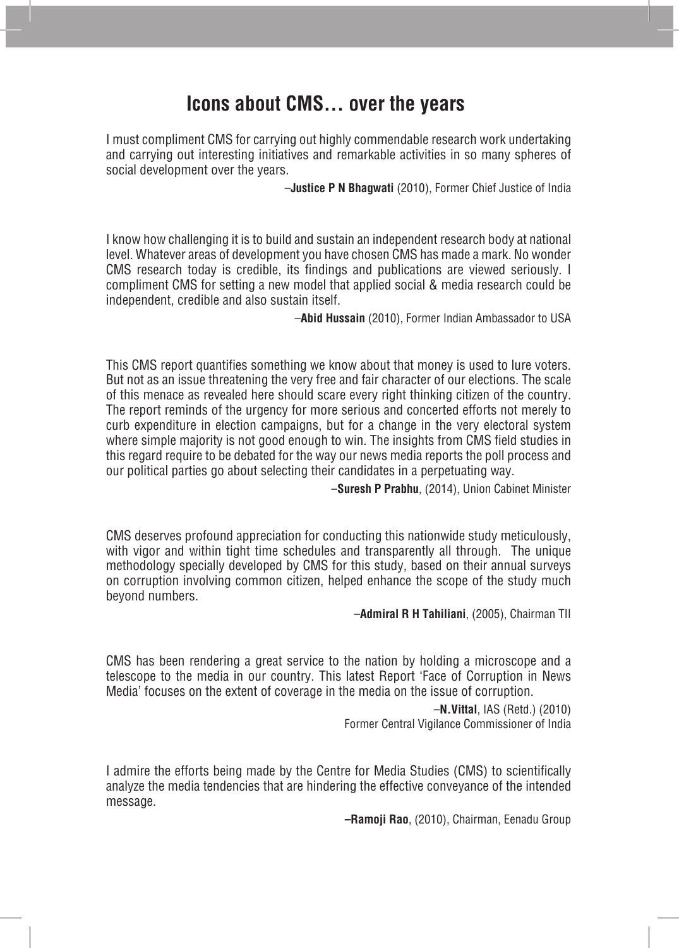## **Icons about CMS... over the years**

I must compliment CMS for carrying out highly commendable research work undertaking and carrying out interesting initiatives and remarkable activities in so many spheres of social development over the years.

–**Justice P N Bhagwati** (2010), Former Chief Justice of India

I know how challenging it is to build and sustain an independent research body at national level. Whatever areas of development you have chosen CMS has made a mark. No wonder CMS research today is credible, its findings and publications are viewed seriously. I compliment CMS for setting a new model that applied social & media research could be independent, credible and also sustain itself.

–**Abid Hussain** (2010), Former Indian Ambassador to USA

This CMS report quantifies something we know about that money is used to lure voters. But not as an issue threatening the very free and fair character of our elections. The scale of this menace as revealed here should scare every right thinking citizen of the country. The report reminds of the urgency for more serious and concerted efforts not merely to curb expenditure in election campaigns, but for a change in the very electoral system where simple majority is not good enough to win. The insights from CMS field studies in this regard require to be debated for the way our news media reports the poll process and our political parties go about selecting their candidates in a perpetuating way.

–**Suresh P Prabhu**, (2014), Union Cabinet Minister

CMS deserves profound appreciation for conducting this nationwide study meticulously, with vigor and within tight time schedules and transparently all through. The unique methodology specially developed by CMS for this study, based on their annual surveys on corruption involving common citizen, helped enhance the scope of the study much beyond numbers.

–**Admiral R H Tahiliani**, (2005), Chairman TII

CMS has been rendering a great service to the nation by holding a microscope and a telescope to the media in our country. This latest Report 'Face of Corruption in News Media' focuses on the extent of coverage in the media on the issue of corruption.

> –**N.Vittal**, IAS (Retd.) (2010) Former Central Vigilance Commissioner of India

I admire the efforts being made by the Centre for Media Studies (CMS) to scientifically analyze the media tendencies that are hindering the effective conveyance of the intended message.

**–Ramoji Rao**, (2010), Chairman, Eenadu Group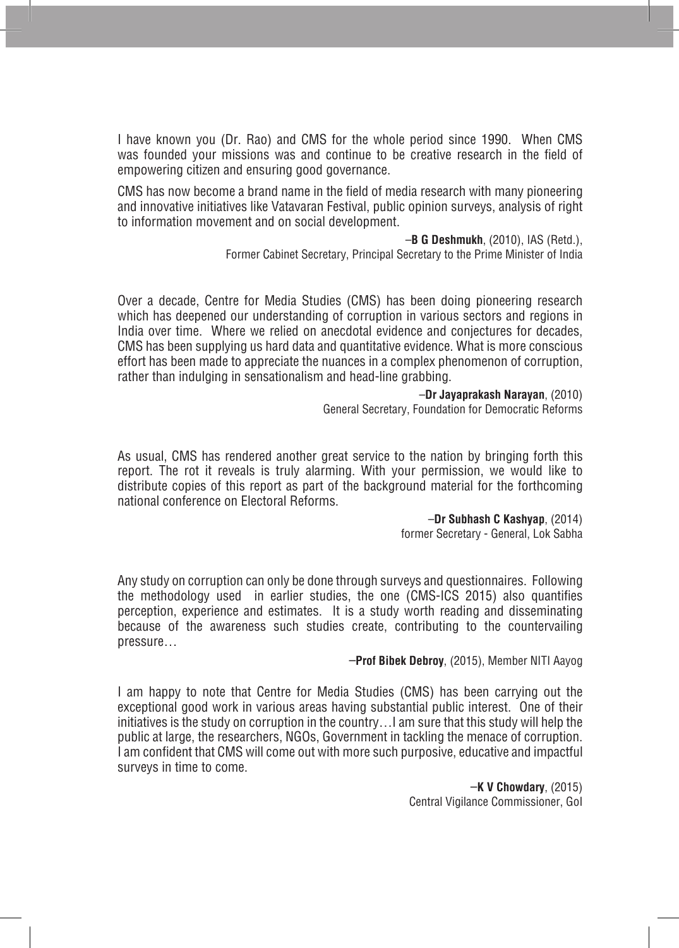I have known you (Dr. Rao) and CMS for the whole period since 1990. When CMS was founded your missions was and continue to be creative research in the field of empowering citizen and ensuring good governance.

CMS has now become a brand name in the field of media research with many pioneering and innovative initiatives like Vatavaran Festival, public opinion surveys, analysis of right to information movement and on social development.

#### –**B G Deshmukh**, (2010), IAS (Retd.),

Former Cabinet Secretary, Principal Secretary to the Prime Minister of India

Over a decade, Centre for Media Studies (CMS) has been doing pioneering research which has deepened our understanding of corruption in various sectors and regions in India over time. Where we relied on anecdotal evidence and conjectures for decades, CMS has been supplying us hard data and quantitative evidence. What is more conscious effort has been made to appreciate the nuances in a complex phenomenon of corruption, rather than indulging in sensationalism and head-line grabbing.

#### –**Dr Jayaprakash Narayan**, (2010)

General Secretary, Foundation for Democratic Reforms

As usual, CMS has rendered another great service to the nation by bringing forth this report. The rot it reveals is truly alarming. With your permission, we would like to distribute copies of this report as part of the background material for the forthcoming national conference on Electoral Reforms.

#### –**Dr Subhash C Kashyap**, (2014)

former Secretary - General, Lok Sabha

Any study on corruption can only be done through surveys and questionnaires. Following the methodology used in earlier studies, the one (CMS-ICS 2015) also quantifies perception, experience and estimates. It is a study worth reading and disseminating because of the awareness such studies create, contributing to the countervailing pressure…

#### –**Prof Bibek Debroy**, (2015), Member NITI Aayog

I am happy to note that Centre for Media Studies (CMS) has been carrying out the exceptional good work in various areas having substantial public interest. One of their initiatives is the study on corruption in the country…I am sure that this study will help the public at large, the researchers, NGOs, Government in tackling the menace of corruption. I am confident that CMS will come out with more such purposive, educative and impactful surveys in time to come.

> –**K V Chowdary**, (2015) Central Vigilance Commissioner, GoI